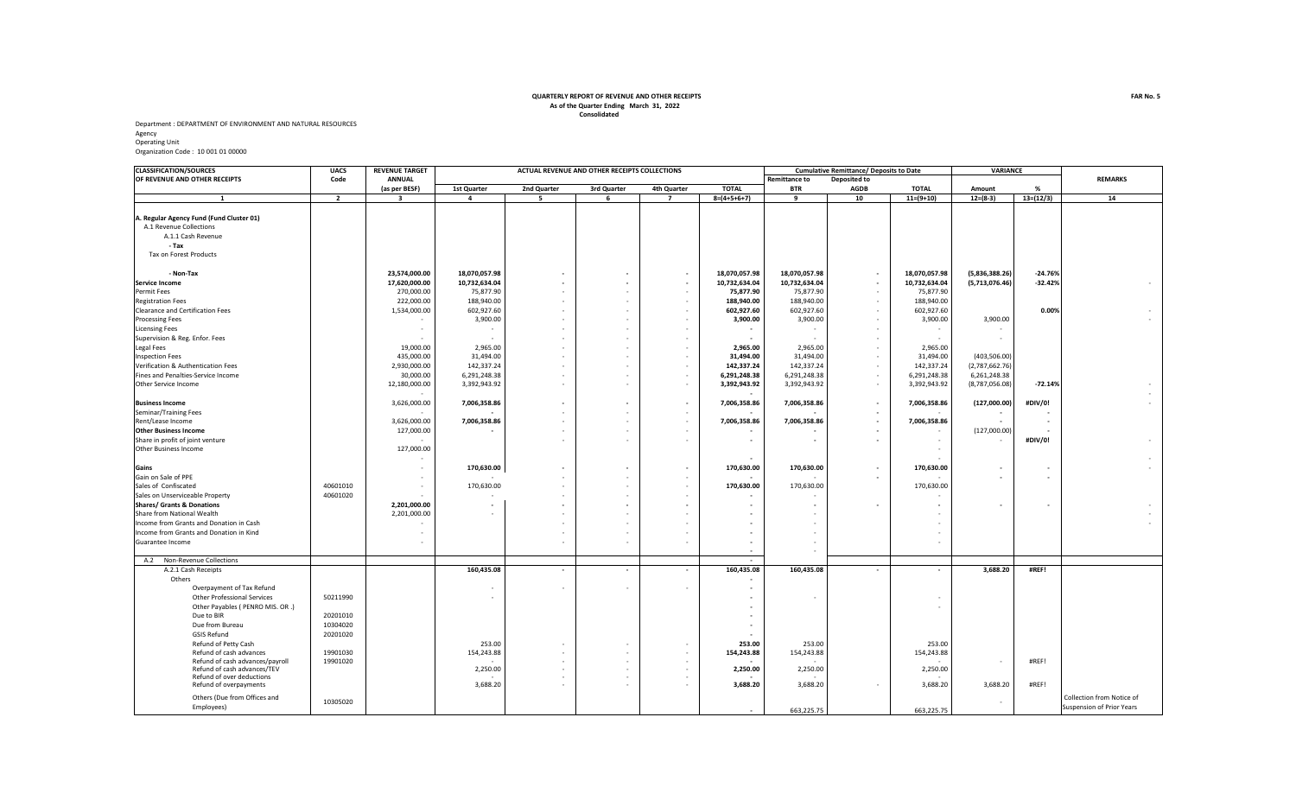## **Consolidated QUARTERLY REPORT OF REVENUE AND OTHER RECEIPTS As of the Quarter Ending March 31, 2022**

Department : DEPARTMENT OF ENVIRONMENT AND NATURAL RESOURCES Agency Operating Unit

Organization Code : 10 001 01 00000

| <b>CLASSIFICATION/SOURCES</b>            | <b>UACS</b>    | <b>REVENUE TARGET</b>   | ACTUAL REVENUE AND OTHER RECEIPTS COLLECTIONS |             |                          |                          |                          | <b>Cumulative Remittance/ Deposits to Date</b> |                          |                          | <b>VARIANCE</b>          |                |                           |
|------------------------------------------|----------------|-------------------------|-----------------------------------------------|-------------|--------------------------|--------------------------|--------------------------|------------------------------------------------|--------------------------|--------------------------|--------------------------|----------------|---------------------------|
| OF REVENUE AND OTHER RECEIPTS            | Code           | <b>ANNUAL</b>           |                                               |             |                          |                          | <b>Remittance to</b>     | Deposited to                                   |                          |                          |                          | <b>REMARKS</b> |                           |
|                                          |                | (as per BESF)           | <b>1st Quarter</b>                            | 2nd Quarter | 3rd Quarter              | 4th Quarter              | <b>TOTAL</b>             | <b>BTR</b>                                     | <b>AGDB</b>              | <b>TOTAL</b>             | Amount                   | %              |                           |
| $\mathbf{1}$                             | $\overline{2}$ | $\overline{\mathbf{3}}$ | 4                                             | 5           | 6                        | $\overline{7}$           | $8=(4+5+6+7)$            | 9                                              | 10                       | $11=(9+10)$              | $12=(8-3)$               | $13=(12/3)$    | 14                        |
|                                          |                |                         |                                               |             |                          |                          |                          |                                                |                          |                          |                          |                |                           |
| A. Regular Agency Fund (Fund Cluster 01) |                |                         |                                               |             |                          |                          |                          |                                                |                          |                          |                          |                |                           |
| A.1 Revenue Collections                  |                |                         |                                               |             |                          |                          |                          |                                                |                          |                          |                          |                |                           |
| A.1.1 Cash Revenue                       |                |                         |                                               |             |                          |                          |                          |                                                |                          |                          |                          |                |                           |
| - Tax                                    |                |                         |                                               |             |                          |                          |                          |                                                |                          |                          |                          |                |                           |
| Tax on Forest Products                   |                |                         |                                               |             |                          |                          |                          |                                                |                          |                          |                          |                |                           |
|                                          |                |                         |                                               |             |                          |                          |                          |                                                |                          |                          |                          |                |                           |
| - Non-Tax                                |                | 23,574,000.00           | 18,070,057.98                                 |             | $\overline{\phantom{a}}$ | $\blacksquare$           | 18,070,057.98            | 18,070,057.98                                  | $\overline{\phantom{a}}$ | 18,070,057.98            | (5,836,388.26)           | $-24.76%$      |                           |
| <b>Service Income</b>                    |                | 17,620,000.00           | 10,732,634.04                                 |             | $\overline{\phantom{a}}$ | $\blacksquare$           | 10,732,634.04            | 10,732,634.04                                  | $\overline{\phantom{a}}$ | 10,732,634.04            | (5,713,076.46)           | $-32.42%$      |                           |
| <b>Permit Fees</b>                       |                | 270,000.00              | 75,877.90                                     |             | ٠                        | $\sim$                   | 75,877.90                | 75,877.90                                      | $\sim$                   | 75,877.90                |                          |                |                           |
| <b>Registration Fees</b>                 |                | 222,000.00              | 188,940.00                                    |             | ÷,                       | $\overline{\phantom{a}}$ | 188,940.00               | 188,940.00                                     | $\overline{\phantom{a}}$ | 188,940.00               |                          |                |                           |
| Clearance and Certification Fees         |                | 1,534,000.00            | 602,927.60                                    |             | ٠                        | $\sim$                   | 602,927.60               | 602,927.60                                     | $\sim$                   | 602,927.60               |                          | 0.00%          |                           |
| <b>Processing Fees</b>                   |                |                         | 3,900.00                                      |             |                          |                          | 3,900.00                 | 3,900.00                                       | $\overline{\phantom{a}}$ | 3,900.00                 | 3,900.00                 |                |                           |
| <b>Licensing Fees</b>                    |                |                         | $\overline{\phantom{a}}$                      |             | ٠                        |                          |                          | $\overline{\phantom{a}}$                       | $\sim$                   |                          |                          |                |                           |
| Supervision & Reg. Enfor. Fees           |                |                         |                                               |             | $\overline{\phantom{a}}$ | $\overline{\phantom{a}}$ |                          |                                                | $\sim$                   |                          | $\overline{a}$           |                |                           |
| Legal Fees                               |                | 19,000.00               | 2,965.00                                      |             | ٠                        | $\sim$                   | 2,965.00                 | 2,965.00                                       | $\sim$                   | 2,965.00                 |                          |                |                           |
| <b>Inspection Fees</b>                   |                | 435,000.00              | 31,494.00                                     |             | $\overline{\phantom{a}}$ | $\overline{\phantom{a}}$ | 31,494.00                | 31,494.00                                      | $\sim$                   | 31,494.00                | (403, 506.00)            |                |                           |
| Verification & Authentication Fees       |                | 2,930,000.00            | 142,337.24                                    |             | $\overline{\phantom{a}}$ | $\overline{\phantom{a}}$ | 142,337.24               | 142,337.24                                     | $\sim$                   | 142,337.24               | (2,787,662.76)           |                |                           |
| Fines and Penalties-Service Income       |                | 30,000.00               | 6,291,248.38                                  |             | $\overline{\phantom{a}}$ | $\sim$                   | 6,291,248.38             | 6,291,248.38                                   | $\sim$                   | 6,291,248.38             | 6,261,248.38             |                |                           |
| Other Service Income                     |                | 12,180,000.00           | 3,392,943.92                                  |             | $\overline{\phantom{a}}$ | $\sim$                   | 3,392,943.92             | 3,392,943.92                                   | $\sim$                   | 3,392,943.92             | (8,787,056.08)           | $-72.14%$      |                           |
|                                          |                |                         |                                               |             |                          |                          |                          |                                                |                          |                          |                          |                |                           |
| <b>Business Income</b>                   |                | 3,626,000.00            | 7,006,358.86                                  |             | $\overline{\phantom{a}}$ | $\sim$                   | 7,006,358.86             | 7,006,358.86                                   | $\overline{\phantom{a}}$ | 7,006,358.86             | (127,000.00)             | #DIV/0!        |                           |
| Seminar/Training Fees                    |                |                         |                                               |             | ٠                        | $\overline{\phantom{a}}$ |                          |                                                | $\overline{\phantom{a}}$ |                          |                          |                |                           |
| Rent/Lease Income                        |                | 3,626,000.00            | 7,006,358.86                                  |             | $\overline{\phantom{m}}$ | $\overline{\phantom{a}}$ | 7,006,358.86             | 7,006,358.86                                   | $\overline{\phantom{a}}$ | 7,006,358.86             |                          |                |                           |
| <b>Other Business Income</b>             |                | 127,000.00              |                                               |             | $\overline{a}$           |                          |                          |                                                | $\overline{\phantom{a}}$ |                          | (127,000.00)             |                |                           |
| Share in profit of joint venture         |                |                         |                                               |             | $\overline{a}$           |                          |                          |                                                | $\overline{\phantom{a}}$ | $\overline{\phantom{a}}$ |                          | #DIV/0!        |                           |
| <b>Other Business Income</b>             |                | 127,000.00              |                                               |             |                          |                          |                          |                                                |                          | $\overline{\phantom{a}}$ |                          |                |                           |
|                                          |                |                         |                                               |             |                          |                          |                          |                                                |                          |                          |                          |                |                           |
| Gains                                    |                |                         | 170,630.00                                    |             |                          |                          | 170,630.00               | 170,630.00                                     | $\overline{\phantom{a}}$ | 170,630.00               |                          |                |                           |
| Gain on Sale of PPE                      |                |                         |                                               |             |                          |                          |                          |                                                | $\overline{\phantom{a}}$ |                          |                          |                |                           |
| Sales of Confiscated                     | 40601010       |                         | 170,630.00                                    |             |                          | $\sim$                   | 170,630.00               | 170,630.00                                     |                          | 170,630.00               |                          |                |                           |
| Sales on Unserviceable Property          | 40601020       |                         |                                               |             |                          |                          |                          |                                                |                          |                          |                          |                |                           |
| <b>Shares/ Grants &amp; Donations</b>    |                | 2,201,000.00            |                                               |             | $\overline{\phantom{a}}$ |                          |                          |                                                |                          | $\overline{\phantom{a}}$ |                          |                |                           |
| Share from National Wealth               |                | 2,201,000.00            |                                               |             |                          |                          |                          |                                                |                          |                          |                          |                |                           |
| Income from Grants and Donation in Cash  |                |                         |                                               |             |                          |                          |                          |                                                |                          |                          |                          |                |                           |
| Income from Grants and Donation in Kind  |                |                         |                                               |             | ٠                        |                          |                          |                                                |                          |                          |                          |                |                           |
| Guarantee Income                         |                |                         |                                               |             | ٠                        |                          | $\overline{\phantom{a}}$ | $\overline{\phantom{a}}$                       |                          | $\overline{\phantom{a}}$ |                          |                |                           |
|                                          |                |                         |                                               |             |                          |                          |                          |                                                |                          |                          |                          |                |                           |
| A.2 Non-Revenue Collections              |                |                         |                                               |             |                          |                          |                          |                                                |                          |                          |                          |                |                           |
| A.2.1 Cash Receipts                      |                |                         | 160,435.08                                    | $\sim$      | $\overline{\phantom{a}}$ | $\mathbf{r}$             | 160,435.08               | 160,435.08                                     | $\overline{\phantom{a}}$ | $\overline{\phantom{a}}$ | 3,688.20                 | #REF!          |                           |
| Others                                   |                |                         |                                               |             |                          |                          |                          |                                                |                          |                          |                          |                |                           |
| Overpayment of Tax Refund                |                |                         |                                               |             | $\overline{a}$           |                          |                          |                                                |                          |                          |                          |                |                           |
| Other Professional Services              | 50211990       |                         |                                               |             |                          |                          |                          | . .                                            |                          | $\overline{\phantom{a}}$ |                          |                |                           |
| Other Payables ( PENRO MIS. OR .)        |                |                         |                                               |             |                          |                          |                          |                                                |                          | $\overline{\phantom{a}}$ |                          |                |                           |
| Due to BIR                               | 20201010       |                         |                                               |             |                          |                          |                          |                                                |                          |                          |                          |                |                           |
| Due from Bureau                          | 10304020       |                         |                                               |             |                          |                          |                          |                                                |                          |                          |                          |                |                           |
| <b>GSIS Refund</b>                       | 20201020       |                         |                                               |             |                          |                          |                          |                                                |                          |                          |                          |                |                           |
| Refund of Petty Cash                     |                |                         | 253.00                                        |             | ٠                        |                          | 253.00                   | 253.00                                         |                          | 253.00                   |                          |                |                           |
| Refund of cash advances                  | 19901030       |                         | 154,243.88                                    |             | ٠                        | $\sim$                   | 154,243.88               | 154,243.88                                     |                          | 154,243.88               |                          |                |                           |
| Refund of cash advances/payroll          | 19901020       |                         |                                               |             |                          |                          |                          |                                                |                          |                          |                          | #REF!          |                           |
| Refund of cash advances/TEV              |                |                         | 2,250.00                                      |             | ٠                        | $\sim$                   | 2,250.00                 | 2,250.00                                       |                          | 2,250.00                 |                          |                |                           |
| Refund of over deductions                |                |                         |                                               |             | ٠                        | $\overline{\phantom{a}}$ |                          |                                                |                          |                          |                          |                |                           |
| Refund of overpayments                   |                |                         | 3,688.20                                      |             |                          |                          | 3.688.20                 | 3,688.20                                       | $\sim$                   | 3,688.20                 | 3,688.20                 | #REF!          |                           |
| Others (Due from Offices and             |                |                         |                                               |             |                          |                          |                          |                                                |                          |                          |                          |                | Collection from Notice of |
| Employees)                               | 10305020       |                         |                                               |             |                          |                          |                          |                                                |                          |                          | $\overline{\phantom{a}}$ |                | Suspension of Prior Years |
|                                          |                |                         |                                               |             |                          |                          |                          | 663,225.75                                     |                          | 663,225.75               |                          |                |                           |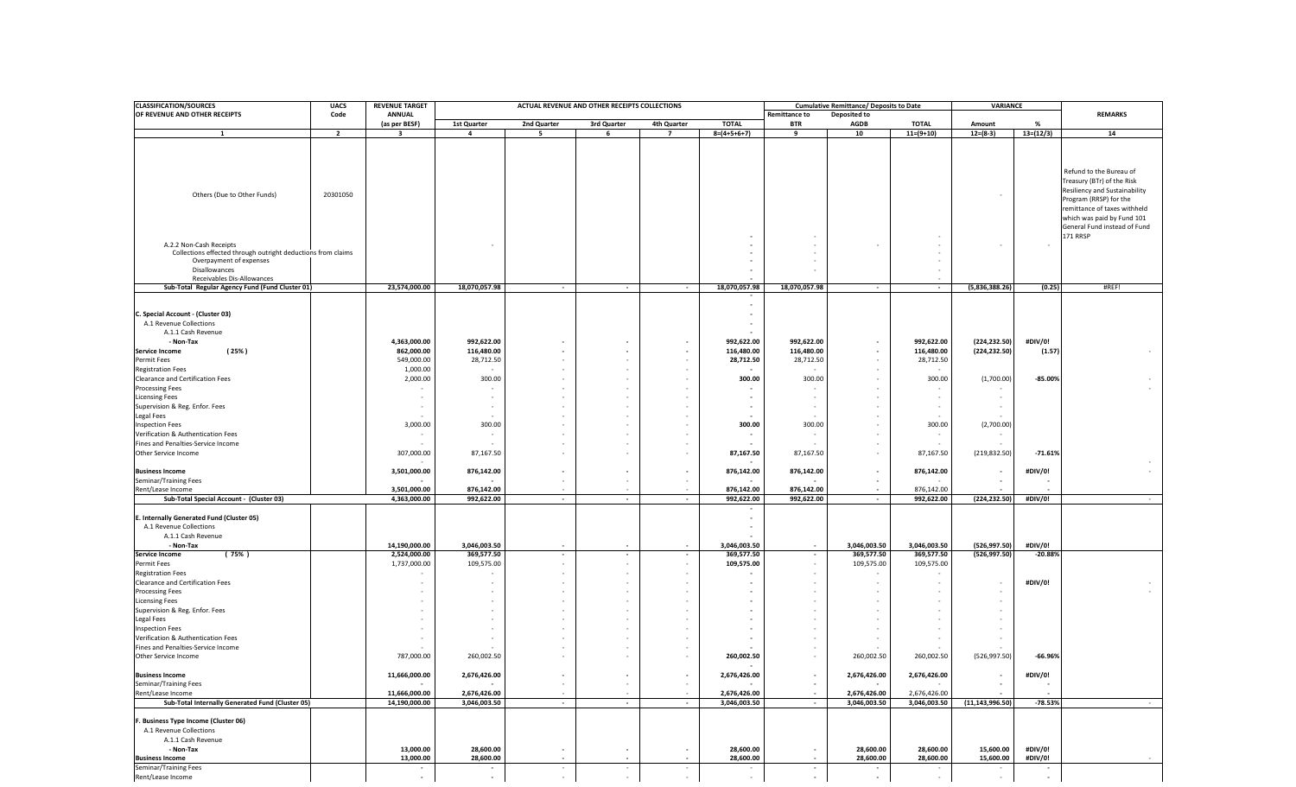| OF REVENUE AND OTHER RECEIPTS<br><b>ANNUAL</b><br><b>REMARKS</b><br>Code<br><b>Remittance to</b><br>Deposited to<br><b>TOTAL</b><br>(as per BESF)<br>1st Quarter<br>2nd Quarter<br>3rd Quarter<br>4th Quarter<br><b>TOTAL</b><br><b>BTR</b><br><b>AGDB</b><br>Amount<br>%<br>$8=(4+5+6+7)$<br>$11=(9+10)$<br>$12=(8-3)$<br>$13=(12/3)$<br>$\overline{2}$<br>$\overline{\mathbf{3}}$<br>4<br>5<br>6<br>$\overline{7}$<br>9<br>10<br>14<br>1<br>Refund to the Bureau of<br>Treasury (BTr) of the Risk<br>Resiliency and Sustainability<br>Others (Due to Other Funds)<br>20301050<br>Program (RRSP) for the<br>remittance of taxes withheld<br>which was paid by Fund 101<br>General Fund instead of Fund<br>171 RRSP<br>A.2.2 Non-Cash Receipts<br>$\overline{\phantom{a}}$<br>$\overline{a}$<br>Collections effected through outright deductions from claims<br>Overpayment of expenses<br>Disallowances<br>$\overline{\phantom{a}}$<br>Receivables Dis-Allowances<br>$\overline{\phantom{a}}$<br>23,574,000.00<br>18,070,057.98<br>18,070,057.98<br>(5,836,388.26)<br>#REF!<br>Sub-Total Regular Agency Fund (Fund Cluster 01)<br>18,070,057.98<br>(0.25)<br>$\sim$<br>$\sim$<br>$\sim$<br>$\sim$<br>$\sim$<br>$\overline{\phantom{a}}$<br>C. Special Account - (Cluster 03)<br>$\overline{\phantom{a}}$<br>A.1 Revenue Collections<br>$\overline{\phantom{a}}$<br>A.1.1 Cash Revenue<br>992,622.00<br>992,622.00<br>(224, 232.50)<br>#DIV/0!<br>- Non-Tax<br>4,363,000.00<br>992,622.00<br>992,622.00<br>$\overline{\phantom{a}}$<br>116,480.00<br>(25%)<br>862,000.00<br>116,480.00<br>116,480.00<br>116,480.00<br>(224, 232.50)<br>(1.57)<br><b>Service Income</b><br>$\overline{\phantom{a}}$<br>$\blacksquare$<br>549,000.00<br>28,712.50<br>28,712.50<br>28,712.50<br>28,712.50<br>Permit Fees<br>٠<br>$\sim$<br>1,000.00<br><b>Registration Fees</b><br>٠<br>Clearance and Certification Fees<br>2,000.00<br>300.00<br>300.00<br>300.00<br>300.00<br>(1,700.00)<br>$-85.00%$<br>$\overline{\phantom{a}}$<br><b>Processing Fees</b><br><b>Licensing Fees</b><br>$\overline{\phantom{a}}$<br>$\overline{\phantom{a}}$<br>$\sim$<br>Supervision & Reg. Enfor. Fees<br>$\overline{\phantom{a}}$<br>$\overline{\phantom{a}}$<br>$\overline{\phantom{a}}$<br>$\overline{\phantom{a}}$<br>$\overline{\phantom{a}}$<br>$\overline{\phantom{a}}$<br>$\overline{\phantom{a}}$<br>Legal Fees<br>$\overline{\phantom{a}}$<br>$\overline{\phantom{a}}$<br>3,000.00<br>300.00<br>300.00<br>300.00<br>300.00<br>(2,700.00)<br><b>Inspection Fees</b><br>Verification & Authentication Fees<br>$\overline{\phantom{a}}$<br>Fines and Penalties-Service Income<br>$\sim$<br>87,167.50<br>(219, 832.50)<br>Other Service Income<br>307,000.00<br>87,167.50<br>87,167.50<br>87,167.50<br>$-71.61%$<br>3,501,000.00<br>876,142.00<br>876,142.00<br>876,142.00<br>876,142.00<br>#DIV/0!<br><b>Business Income</b><br>$\overline{\phantom{a}}$<br>$\overline{\phantom{a}}$<br>$\overline{\phantom{a}}$<br>$\overline{\phantom{a}}$<br>Seminar/Training Fees<br>$\overline{\phantom{a}}$<br>$\overline{\phantom{a}}$<br>876,142.00<br>Rent/Lease Income<br>3,501,000.00<br>876,142.00<br>876,142.00<br>876,142.00<br>$\sim$<br>٠<br>#DIV/0!<br>Sub-Total Special Account - (Cluster 03)<br>4,363,000.00<br>992,622.00<br>992,622.00<br>992,622.00<br>992,622.00<br>(224, 232.50)<br>$\sim$<br>$\sim$<br>$\sim$<br>$\sim$<br>$\sim$<br>E. Internally Generated Fund (Cluster 05)<br>$\overline{\phantom{a}}$<br>A.1 Revenue Collections<br>A.1.1 Cash Revenue<br>14,190,000.00<br>3,046,003.50<br>3,046,003.50<br>3,046,003.50<br>3,046,003.50<br>(526, 997.50)<br>#DIV/0!<br>- Non-Tax<br>$\overline{\phantom{a}}$<br>$\sim$<br>$\overline{\phantom{a}}$<br>$\sim$<br>(75% )<br>2,524,000.00<br>369,577.50<br>369,577.50<br>369,577.50<br>369,577.50<br>(526, 997.50)<br>$-20.88%$<br><b>Service Income</b><br>$\overline{\phantom{a}}$<br>$\sim$<br>$\sim$<br>$\overline{\phantom{a}}$<br>1,737,000.00<br>109,575.00<br>109,575.00<br>109,575.00<br>109,575.00<br>Permit Fees<br>$\sim$<br>$\overline{\phantom{a}}$<br>$\overline{\phantom{a}}$<br><b>Registration Fees</b><br>$\overline{\phantom{a}}$<br>Clearance and Certification Fees<br>#DIV/0!<br>$\overline{\phantom{a}}$<br><b>Processing Fees</b><br>$\overline{\phantom{a}}$<br><b>Licensing Fees</b><br>٠<br>$\overline{\phantom{a}}$<br>$\overline{\phantom{a}}$<br>Supervision & Reg. Enfor. Fees<br>$\overline{\phantom{a}}$<br>$\overline{\phantom{a}}$<br>$\overline{\phantom{a}}$<br>Legal Fees<br><b>Inspection Fees</b><br>Verification & Authentication Fees<br>Fines and Penalties-Service Income<br>٠<br>787,000.00<br>260,002.50<br>260,002.50<br>260,002.50<br>260,002.50<br>(526, 997.50)<br>$-66.96%$<br>Other Service Income<br>$\overline{\phantom{a}}$<br>11,666,000.00<br>2,676,426.00<br>2,676,426.00<br>2,676,426.00<br>2,676,426.00<br>#DIV/0!<br><b>Business Income</b><br>Seminar/Training Fees<br>$\overline{\phantom{a}}$<br>$\sim$<br>Rent/Lease Income<br>11,666,000.00<br>2,676,426.00<br>2,676,426.00<br>2,676,426.00<br>2,676,426.00<br>$\sim$<br>$\sim$<br>$\sim$<br>$\sim$<br>$\sim$<br>$\sim$<br>Sub-Total Internally Generated Fund (Cluster 05)<br>14,190,000.00<br>3,046,003.50<br>3,046,003.50<br>3,046,003.50<br>3,046,003.50<br>(11, 143, 996.50)<br>$-78.53%$<br>$\sim$<br>$\sim$<br>$\sim$<br>$\sim$<br>$\sim$<br>F. Business Type Income (Cluster 06)<br>A.1 Revenue Collections<br>A.1.1 Cash Revenue<br>13,000.00<br>28,600.00<br>28,600.00<br>28,600.00<br>28,600.00<br>15,600.00<br>#DIV/0!<br>- Non-Tax<br>$\overline{\phantom{a}}$<br>$\overline{\phantom{a}}$<br>$\overline{\phantom{a}}$<br>13,000.00<br>28,600.00<br>28,600.00<br>28,600.00<br>28,600.00<br>15,600.00<br>#DIV/0!<br><b>Business Income</b><br>$\sim$<br>$\blacksquare$<br>$\sim$<br>$\sim$<br>$\sim$<br>Seminar/Training Fees<br>$\sim$<br>$\overline{\phantom{a}}$<br>$\sim$<br>$\overline{\phantom{a}}$<br>$\overline{\phantom{a}}$<br>$\overline{\phantom{a}}$<br>$\sim$<br>$\overline{\phantom{a}}$<br>$\overline{\phantom{a}}$<br>$\overline{\phantom{a}}$<br>$\overline{\phantom{a}}$<br>$\overline{\phantom{a}}$<br>$\overline{\phantom{a}}$<br>$\sim$<br>$\sim$<br>$\overline{\phantom{a}}$<br>$\sim$<br>$\sim$<br>$\sim$<br>$\overline{\phantom{a}}$<br>$\sim$<br>$\overline{\phantom{a}}$ | <b>CLASSIFICATION/SOURCES</b> | <b>UACS</b> | <b>REVENUE TARGET</b> | ACTUAL REVENUE AND OTHER RECEIPTS COLLECTIONS<br><b>Cumulative Remittance/ Deposits to Date</b> |  |  |  |  | VARIANCE |  |  |
|------------------------------------------------------------------------------------------------------------------------------------------------------------------------------------------------------------------------------------------------------------------------------------------------------------------------------------------------------------------------------------------------------------------------------------------------------------------------------------------------------------------------------------------------------------------------------------------------------------------------------------------------------------------------------------------------------------------------------------------------------------------------------------------------------------------------------------------------------------------------------------------------------------------------------------------------------------------------------------------------------------------------------------------------------------------------------------------------------------------------------------------------------------------------------------------------------------------------------------------------------------------------------------------------------------------------------------------------------------------------------------------------------------------------------------------------------------------------------------------------------------------------------------------------------------------------------------------------------------------------------------------------------------------------------------------------------------------------------------------------------------------------------------------------------------------------------------------------------------------------------------------------------------------------------------------------------------------------------------------------------------------------------------------------------------------------------------------------------------------------------------------------------------------------------------------------------------------------------------------------------------------------------------------------------------------------------------------------------------------------------------------------------------------------------------------------------------------------------------------------------------------------------------------------------------------------------------------------------------------------------------------------------------------------------------------------------------------------------------------------------------------------------------------------------------------------------------------------------------------------------------------------------------------------------------------------------------------------------------------------------------------------------------------------------------------------------------------------------------------------------------------------------------------------------------------------------------------------------------------------------------------------------------------------------------------------------------------------------------------------------------------------------------------------------------------------------------------------------------------------------------------------------------------------------------------------------------------------------------------------------------------------------------------------------------------------------------------------------------------------------------------------------------------------------------------------------------------------------------------------------------------------------------------------------------------------------------------------------------------------------------------------------------------------------------------------------------------------------------------------------------------------------------------------------------------------------------------------------------------------------------------------------------------------------------------------------------------------------------------------------------------------------------------------------------------------------------------------------------------------------------------------------------------------------------------------------------------------------------------------------------------------------------------------------------------------------------------------------------------------------------------------------------------------------------------------------------------------------------------------------------------------------------------------------------------------------------------------------------------------------------------------------------------------------------------------------------------------------------------------------------------------------------------------------------------------------------------------------------------------------------------------------------------------------------------------------------------------------------------------------------------------------------------------------------------------------------------------------------------------------------------------------------------------------------------------------------------------------------------------------------------------------------------------------------------------------------------------------------------------------------------------------------------------------------------------------------------------------------------------------------------------------------------------------------------------------------------------------------------------------------------------------------------------------------------------------------------------------------------------------------------------------------------------------------------------------------------------------------------------------------------------------------------------------------------------------------------------------------------------|-------------------------------|-------------|-----------------------|-------------------------------------------------------------------------------------------------|--|--|--|--|----------|--|--|
|                                                                                                                                                                                                                                                                                                                                                                                                                                                                                                                                                                                                                                                                                                                                                                                                                                                                                                                                                                                                                                                                                                                                                                                                                                                                                                                                                                                                                                                                                                                                                                                                                                                                                                                                                                                                                                                                                                                                                                                                                                                                                                                                                                                                                                                                                                                                                                                                                                                                                                                                                                                                                                                                                                                                                                                                                                                                                                                                                                                                                                                                                                                                                                                                                                                                                                                                                                                                                                                                                                                                                                                                                                                                                                                                                                                                                                                                                                                                                                                                                                                                                                                                                                                                                                                                                                                                                                                                                                                                                                                                                                                                                                                                                                                                                                                                                                                                                                                                                                                                                                                                                                                                                                                                                                                                                                                                                                                                                                                                                                                                                                                                                                                                                                                                                                                                                                                                                                                                                                                                                                                                                                                                                                                                                                                                                                                                                                        |                               |             |                       |                                                                                                 |  |  |  |  |          |  |  |
|                                                                                                                                                                                                                                                                                                                                                                                                                                                                                                                                                                                                                                                                                                                                                                                                                                                                                                                                                                                                                                                                                                                                                                                                                                                                                                                                                                                                                                                                                                                                                                                                                                                                                                                                                                                                                                                                                                                                                                                                                                                                                                                                                                                                                                                                                                                                                                                                                                                                                                                                                                                                                                                                                                                                                                                                                                                                                                                                                                                                                                                                                                                                                                                                                                                                                                                                                                                                                                                                                                                                                                                                                                                                                                                                                                                                                                                                                                                                                                                                                                                                                                                                                                                                                                                                                                                                                                                                                                                                                                                                                                                                                                                                                                                                                                                                                                                                                                                                                                                                                                                                                                                                                                                                                                                                                                                                                                                                                                                                                                                                                                                                                                                                                                                                                                                                                                                                                                                                                                                                                                                                                                                                                                                                                                                                                                                                                                        |                               |             |                       |                                                                                                 |  |  |  |  |          |  |  |
|                                                                                                                                                                                                                                                                                                                                                                                                                                                                                                                                                                                                                                                                                                                                                                                                                                                                                                                                                                                                                                                                                                                                                                                                                                                                                                                                                                                                                                                                                                                                                                                                                                                                                                                                                                                                                                                                                                                                                                                                                                                                                                                                                                                                                                                                                                                                                                                                                                                                                                                                                                                                                                                                                                                                                                                                                                                                                                                                                                                                                                                                                                                                                                                                                                                                                                                                                                                                                                                                                                                                                                                                                                                                                                                                                                                                                                                                                                                                                                                                                                                                                                                                                                                                                                                                                                                                                                                                                                                                                                                                                                                                                                                                                                                                                                                                                                                                                                                                                                                                                                                                                                                                                                                                                                                                                                                                                                                                                                                                                                                                                                                                                                                                                                                                                                                                                                                                                                                                                                                                                                                                                                                                                                                                                                                                                                                                                                        |                               |             |                       |                                                                                                 |  |  |  |  |          |  |  |
|                                                                                                                                                                                                                                                                                                                                                                                                                                                                                                                                                                                                                                                                                                                                                                                                                                                                                                                                                                                                                                                                                                                                                                                                                                                                                                                                                                                                                                                                                                                                                                                                                                                                                                                                                                                                                                                                                                                                                                                                                                                                                                                                                                                                                                                                                                                                                                                                                                                                                                                                                                                                                                                                                                                                                                                                                                                                                                                                                                                                                                                                                                                                                                                                                                                                                                                                                                                                                                                                                                                                                                                                                                                                                                                                                                                                                                                                                                                                                                                                                                                                                                                                                                                                                                                                                                                                                                                                                                                                                                                                                                                                                                                                                                                                                                                                                                                                                                                                                                                                                                                                                                                                                                                                                                                                                                                                                                                                                                                                                                                                                                                                                                                                                                                                                                                                                                                                                                                                                                                                                                                                                                                                                                                                                                                                                                                                                                        |                               |             |                       |                                                                                                 |  |  |  |  |          |  |  |
|                                                                                                                                                                                                                                                                                                                                                                                                                                                                                                                                                                                                                                                                                                                                                                                                                                                                                                                                                                                                                                                                                                                                                                                                                                                                                                                                                                                                                                                                                                                                                                                                                                                                                                                                                                                                                                                                                                                                                                                                                                                                                                                                                                                                                                                                                                                                                                                                                                                                                                                                                                                                                                                                                                                                                                                                                                                                                                                                                                                                                                                                                                                                                                                                                                                                                                                                                                                                                                                                                                                                                                                                                                                                                                                                                                                                                                                                                                                                                                                                                                                                                                                                                                                                                                                                                                                                                                                                                                                                                                                                                                                                                                                                                                                                                                                                                                                                                                                                                                                                                                                                                                                                                                                                                                                                                                                                                                                                                                                                                                                                                                                                                                                                                                                                                                                                                                                                                                                                                                                                                                                                                                                                                                                                                                                                                                                                                                        |                               |             |                       |                                                                                                 |  |  |  |  |          |  |  |
|                                                                                                                                                                                                                                                                                                                                                                                                                                                                                                                                                                                                                                                                                                                                                                                                                                                                                                                                                                                                                                                                                                                                                                                                                                                                                                                                                                                                                                                                                                                                                                                                                                                                                                                                                                                                                                                                                                                                                                                                                                                                                                                                                                                                                                                                                                                                                                                                                                                                                                                                                                                                                                                                                                                                                                                                                                                                                                                                                                                                                                                                                                                                                                                                                                                                                                                                                                                                                                                                                                                                                                                                                                                                                                                                                                                                                                                                                                                                                                                                                                                                                                                                                                                                                                                                                                                                                                                                                                                                                                                                                                                                                                                                                                                                                                                                                                                                                                                                                                                                                                                                                                                                                                                                                                                                                                                                                                                                                                                                                                                                                                                                                                                                                                                                                                                                                                                                                                                                                                                                                                                                                                                                                                                                                                                                                                                                                                        |                               |             |                       |                                                                                                 |  |  |  |  |          |  |  |
|                                                                                                                                                                                                                                                                                                                                                                                                                                                                                                                                                                                                                                                                                                                                                                                                                                                                                                                                                                                                                                                                                                                                                                                                                                                                                                                                                                                                                                                                                                                                                                                                                                                                                                                                                                                                                                                                                                                                                                                                                                                                                                                                                                                                                                                                                                                                                                                                                                                                                                                                                                                                                                                                                                                                                                                                                                                                                                                                                                                                                                                                                                                                                                                                                                                                                                                                                                                                                                                                                                                                                                                                                                                                                                                                                                                                                                                                                                                                                                                                                                                                                                                                                                                                                                                                                                                                                                                                                                                                                                                                                                                                                                                                                                                                                                                                                                                                                                                                                                                                                                                                                                                                                                                                                                                                                                                                                                                                                                                                                                                                                                                                                                                                                                                                                                                                                                                                                                                                                                                                                                                                                                                                                                                                                                                                                                                                                                        |                               |             |                       |                                                                                                 |  |  |  |  |          |  |  |
|                                                                                                                                                                                                                                                                                                                                                                                                                                                                                                                                                                                                                                                                                                                                                                                                                                                                                                                                                                                                                                                                                                                                                                                                                                                                                                                                                                                                                                                                                                                                                                                                                                                                                                                                                                                                                                                                                                                                                                                                                                                                                                                                                                                                                                                                                                                                                                                                                                                                                                                                                                                                                                                                                                                                                                                                                                                                                                                                                                                                                                                                                                                                                                                                                                                                                                                                                                                                                                                                                                                                                                                                                                                                                                                                                                                                                                                                                                                                                                                                                                                                                                                                                                                                                                                                                                                                                                                                                                                                                                                                                                                                                                                                                                                                                                                                                                                                                                                                                                                                                                                                                                                                                                                                                                                                                                                                                                                                                                                                                                                                                                                                                                                                                                                                                                                                                                                                                                                                                                                                                                                                                                                                                                                                                                                                                                                                                                        |                               |             |                       |                                                                                                 |  |  |  |  |          |  |  |
|                                                                                                                                                                                                                                                                                                                                                                                                                                                                                                                                                                                                                                                                                                                                                                                                                                                                                                                                                                                                                                                                                                                                                                                                                                                                                                                                                                                                                                                                                                                                                                                                                                                                                                                                                                                                                                                                                                                                                                                                                                                                                                                                                                                                                                                                                                                                                                                                                                                                                                                                                                                                                                                                                                                                                                                                                                                                                                                                                                                                                                                                                                                                                                                                                                                                                                                                                                                                                                                                                                                                                                                                                                                                                                                                                                                                                                                                                                                                                                                                                                                                                                                                                                                                                                                                                                                                                                                                                                                                                                                                                                                                                                                                                                                                                                                                                                                                                                                                                                                                                                                                                                                                                                                                                                                                                                                                                                                                                                                                                                                                                                                                                                                                                                                                                                                                                                                                                                                                                                                                                                                                                                                                                                                                                                                                                                                                                                        |                               |             |                       |                                                                                                 |  |  |  |  |          |  |  |
|                                                                                                                                                                                                                                                                                                                                                                                                                                                                                                                                                                                                                                                                                                                                                                                                                                                                                                                                                                                                                                                                                                                                                                                                                                                                                                                                                                                                                                                                                                                                                                                                                                                                                                                                                                                                                                                                                                                                                                                                                                                                                                                                                                                                                                                                                                                                                                                                                                                                                                                                                                                                                                                                                                                                                                                                                                                                                                                                                                                                                                                                                                                                                                                                                                                                                                                                                                                                                                                                                                                                                                                                                                                                                                                                                                                                                                                                                                                                                                                                                                                                                                                                                                                                                                                                                                                                                                                                                                                                                                                                                                                                                                                                                                                                                                                                                                                                                                                                                                                                                                                                                                                                                                                                                                                                                                                                                                                                                                                                                                                                                                                                                                                                                                                                                                                                                                                                                                                                                                                                                                                                                                                                                                                                                                                                                                                                                                        |                               |             |                       |                                                                                                 |  |  |  |  |          |  |  |
|                                                                                                                                                                                                                                                                                                                                                                                                                                                                                                                                                                                                                                                                                                                                                                                                                                                                                                                                                                                                                                                                                                                                                                                                                                                                                                                                                                                                                                                                                                                                                                                                                                                                                                                                                                                                                                                                                                                                                                                                                                                                                                                                                                                                                                                                                                                                                                                                                                                                                                                                                                                                                                                                                                                                                                                                                                                                                                                                                                                                                                                                                                                                                                                                                                                                                                                                                                                                                                                                                                                                                                                                                                                                                                                                                                                                                                                                                                                                                                                                                                                                                                                                                                                                                                                                                                                                                                                                                                                                                                                                                                                                                                                                                                                                                                                                                                                                                                                                                                                                                                                                                                                                                                                                                                                                                                                                                                                                                                                                                                                                                                                                                                                                                                                                                                                                                                                                                                                                                                                                                                                                                                                                                                                                                                                                                                                                                                        |                               |             |                       |                                                                                                 |  |  |  |  |          |  |  |
|                                                                                                                                                                                                                                                                                                                                                                                                                                                                                                                                                                                                                                                                                                                                                                                                                                                                                                                                                                                                                                                                                                                                                                                                                                                                                                                                                                                                                                                                                                                                                                                                                                                                                                                                                                                                                                                                                                                                                                                                                                                                                                                                                                                                                                                                                                                                                                                                                                                                                                                                                                                                                                                                                                                                                                                                                                                                                                                                                                                                                                                                                                                                                                                                                                                                                                                                                                                                                                                                                                                                                                                                                                                                                                                                                                                                                                                                                                                                                                                                                                                                                                                                                                                                                                                                                                                                                                                                                                                                                                                                                                                                                                                                                                                                                                                                                                                                                                                                                                                                                                                                                                                                                                                                                                                                                                                                                                                                                                                                                                                                                                                                                                                                                                                                                                                                                                                                                                                                                                                                                                                                                                                                                                                                                                                                                                                                                                        |                               |             |                       |                                                                                                 |  |  |  |  |          |  |  |
|                                                                                                                                                                                                                                                                                                                                                                                                                                                                                                                                                                                                                                                                                                                                                                                                                                                                                                                                                                                                                                                                                                                                                                                                                                                                                                                                                                                                                                                                                                                                                                                                                                                                                                                                                                                                                                                                                                                                                                                                                                                                                                                                                                                                                                                                                                                                                                                                                                                                                                                                                                                                                                                                                                                                                                                                                                                                                                                                                                                                                                                                                                                                                                                                                                                                                                                                                                                                                                                                                                                                                                                                                                                                                                                                                                                                                                                                                                                                                                                                                                                                                                                                                                                                                                                                                                                                                                                                                                                                                                                                                                                                                                                                                                                                                                                                                                                                                                                                                                                                                                                                                                                                                                                                                                                                                                                                                                                                                                                                                                                                                                                                                                                                                                                                                                                                                                                                                                                                                                                                                                                                                                                                                                                                                                                                                                                                                                        |                               |             |                       |                                                                                                 |  |  |  |  |          |  |  |
|                                                                                                                                                                                                                                                                                                                                                                                                                                                                                                                                                                                                                                                                                                                                                                                                                                                                                                                                                                                                                                                                                                                                                                                                                                                                                                                                                                                                                                                                                                                                                                                                                                                                                                                                                                                                                                                                                                                                                                                                                                                                                                                                                                                                                                                                                                                                                                                                                                                                                                                                                                                                                                                                                                                                                                                                                                                                                                                                                                                                                                                                                                                                                                                                                                                                                                                                                                                                                                                                                                                                                                                                                                                                                                                                                                                                                                                                                                                                                                                                                                                                                                                                                                                                                                                                                                                                                                                                                                                                                                                                                                                                                                                                                                                                                                                                                                                                                                                                                                                                                                                                                                                                                                                                                                                                                                                                                                                                                                                                                                                                                                                                                                                                                                                                                                                                                                                                                                                                                                                                                                                                                                                                                                                                                                                                                                                                                                        |                               |             |                       |                                                                                                 |  |  |  |  |          |  |  |
|                                                                                                                                                                                                                                                                                                                                                                                                                                                                                                                                                                                                                                                                                                                                                                                                                                                                                                                                                                                                                                                                                                                                                                                                                                                                                                                                                                                                                                                                                                                                                                                                                                                                                                                                                                                                                                                                                                                                                                                                                                                                                                                                                                                                                                                                                                                                                                                                                                                                                                                                                                                                                                                                                                                                                                                                                                                                                                                                                                                                                                                                                                                                                                                                                                                                                                                                                                                                                                                                                                                                                                                                                                                                                                                                                                                                                                                                                                                                                                                                                                                                                                                                                                                                                                                                                                                                                                                                                                                                                                                                                                                                                                                                                                                                                                                                                                                                                                                                                                                                                                                                                                                                                                                                                                                                                                                                                                                                                                                                                                                                                                                                                                                                                                                                                                                                                                                                                                                                                                                                                                                                                                                                                                                                                                                                                                                                                                        |                               |             |                       |                                                                                                 |  |  |  |  |          |  |  |
|                                                                                                                                                                                                                                                                                                                                                                                                                                                                                                                                                                                                                                                                                                                                                                                                                                                                                                                                                                                                                                                                                                                                                                                                                                                                                                                                                                                                                                                                                                                                                                                                                                                                                                                                                                                                                                                                                                                                                                                                                                                                                                                                                                                                                                                                                                                                                                                                                                                                                                                                                                                                                                                                                                                                                                                                                                                                                                                                                                                                                                                                                                                                                                                                                                                                                                                                                                                                                                                                                                                                                                                                                                                                                                                                                                                                                                                                                                                                                                                                                                                                                                                                                                                                                                                                                                                                                                                                                                                                                                                                                                                                                                                                                                                                                                                                                                                                                                                                                                                                                                                                                                                                                                                                                                                                                                                                                                                                                                                                                                                                                                                                                                                                                                                                                                                                                                                                                                                                                                                                                                                                                                                                                                                                                                                                                                                                                                        |                               |             |                       |                                                                                                 |  |  |  |  |          |  |  |
|                                                                                                                                                                                                                                                                                                                                                                                                                                                                                                                                                                                                                                                                                                                                                                                                                                                                                                                                                                                                                                                                                                                                                                                                                                                                                                                                                                                                                                                                                                                                                                                                                                                                                                                                                                                                                                                                                                                                                                                                                                                                                                                                                                                                                                                                                                                                                                                                                                                                                                                                                                                                                                                                                                                                                                                                                                                                                                                                                                                                                                                                                                                                                                                                                                                                                                                                                                                                                                                                                                                                                                                                                                                                                                                                                                                                                                                                                                                                                                                                                                                                                                                                                                                                                                                                                                                                                                                                                                                                                                                                                                                                                                                                                                                                                                                                                                                                                                                                                                                                                                                                                                                                                                                                                                                                                                                                                                                                                                                                                                                                                                                                                                                                                                                                                                                                                                                                                                                                                                                                                                                                                                                                                                                                                                                                                                                                                                        |                               |             |                       |                                                                                                 |  |  |  |  |          |  |  |
|                                                                                                                                                                                                                                                                                                                                                                                                                                                                                                                                                                                                                                                                                                                                                                                                                                                                                                                                                                                                                                                                                                                                                                                                                                                                                                                                                                                                                                                                                                                                                                                                                                                                                                                                                                                                                                                                                                                                                                                                                                                                                                                                                                                                                                                                                                                                                                                                                                                                                                                                                                                                                                                                                                                                                                                                                                                                                                                                                                                                                                                                                                                                                                                                                                                                                                                                                                                                                                                                                                                                                                                                                                                                                                                                                                                                                                                                                                                                                                                                                                                                                                                                                                                                                                                                                                                                                                                                                                                                                                                                                                                                                                                                                                                                                                                                                                                                                                                                                                                                                                                                                                                                                                                                                                                                                                                                                                                                                                                                                                                                                                                                                                                                                                                                                                                                                                                                                                                                                                                                                                                                                                                                                                                                                                                                                                                                                                        |                               |             |                       |                                                                                                 |  |  |  |  |          |  |  |
|                                                                                                                                                                                                                                                                                                                                                                                                                                                                                                                                                                                                                                                                                                                                                                                                                                                                                                                                                                                                                                                                                                                                                                                                                                                                                                                                                                                                                                                                                                                                                                                                                                                                                                                                                                                                                                                                                                                                                                                                                                                                                                                                                                                                                                                                                                                                                                                                                                                                                                                                                                                                                                                                                                                                                                                                                                                                                                                                                                                                                                                                                                                                                                                                                                                                                                                                                                                                                                                                                                                                                                                                                                                                                                                                                                                                                                                                                                                                                                                                                                                                                                                                                                                                                                                                                                                                                                                                                                                                                                                                                                                                                                                                                                                                                                                                                                                                                                                                                                                                                                                                                                                                                                                                                                                                                                                                                                                                                                                                                                                                                                                                                                                                                                                                                                                                                                                                                                                                                                                                                                                                                                                                                                                                                                                                                                                                                                        |                               |             |                       |                                                                                                 |  |  |  |  |          |  |  |
|                                                                                                                                                                                                                                                                                                                                                                                                                                                                                                                                                                                                                                                                                                                                                                                                                                                                                                                                                                                                                                                                                                                                                                                                                                                                                                                                                                                                                                                                                                                                                                                                                                                                                                                                                                                                                                                                                                                                                                                                                                                                                                                                                                                                                                                                                                                                                                                                                                                                                                                                                                                                                                                                                                                                                                                                                                                                                                                                                                                                                                                                                                                                                                                                                                                                                                                                                                                                                                                                                                                                                                                                                                                                                                                                                                                                                                                                                                                                                                                                                                                                                                                                                                                                                                                                                                                                                                                                                                                                                                                                                                                                                                                                                                                                                                                                                                                                                                                                                                                                                                                                                                                                                                                                                                                                                                                                                                                                                                                                                                                                                                                                                                                                                                                                                                                                                                                                                                                                                                                                                                                                                                                                                                                                                                                                                                                                                                        |                               |             |                       |                                                                                                 |  |  |  |  |          |  |  |
|                                                                                                                                                                                                                                                                                                                                                                                                                                                                                                                                                                                                                                                                                                                                                                                                                                                                                                                                                                                                                                                                                                                                                                                                                                                                                                                                                                                                                                                                                                                                                                                                                                                                                                                                                                                                                                                                                                                                                                                                                                                                                                                                                                                                                                                                                                                                                                                                                                                                                                                                                                                                                                                                                                                                                                                                                                                                                                                                                                                                                                                                                                                                                                                                                                                                                                                                                                                                                                                                                                                                                                                                                                                                                                                                                                                                                                                                                                                                                                                                                                                                                                                                                                                                                                                                                                                                                                                                                                                                                                                                                                                                                                                                                                                                                                                                                                                                                                                                                                                                                                                                                                                                                                                                                                                                                                                                                                                                                                                                                                                                                                                                                                                                                                                                                                                                                                                                                                                                                                                                                                                                                                                                                                                                                                                                                                                                                                        |                               |             |                       |                                                                                                 |  |  |  |  |          |  |  |
|                                                                                                                                                                                                                                                                                                                                                                                                                                                                                                                                                                                                                                                                                                                                                                                                                                                                                                                                                                                                                                                                                                                                                                                                                                                                                                                                                                                                                                                                                                                                                                                                                                                                                                                                                                                                                                                                                                                                                                                                                                                                                                                                                                                                                                                                                                                                                                                                                                                                                                                                                                                                                                                                                                                                                                                                                                                                                                                                                                                                                                                                                                                                                                                                                                                                                                                                                                                                                                                                                                                                                                                                                                                                                                                                                                                                                                                                                                                                                                                                                                                                                                                                                                                                                                                                                                                                                                                                                                                                                                                                                                                                                                                                                                                                                                                                                                                                                                                                                                                                                                                                                                                                                                                                                                                                                                                                                                                                                                                                                                                                                                                                                                                                                                                                                                                                                                                                                                                                                                                                                                                                                                                                                                                                                                                                                                                                                                        |                               |             |                       |                                                                                                 |  |  |  |  |          |  |  |
|                                                                                                                                                                                                                                                                                                                                                                                                                                                                                                                                                                                                                                                                                                                                                                                                                                                                                                                                                                                                                                                                                                                                                                                                                                                                                                                                                                                                                                                                                                                                                                                                                                                                                                                                                                                                                                                                                                                                                                                                                                                                                                                                                                                                                                                                                                                                                                                                                                                                                                                                                                                                                                                                                                                                                                                                                                                                                                                                                                                                                                                                                                                                                                                                                                                                                                                                                                                                                                                                                                                                                                                                                                                                                                                                                                                                                                                                                                                                                                                                                                                                                                                                                                                                                                                                                                                                                                                                                                                                                                                                                                                                                                                                                                                                                                                                                                                                                                                                                                                                                                                                                                                                                                                                                                                                                                                                                                                                                                                                                                                                                                                                                                                                                                                                                                                                                                                                                                                                                                                                                                                                                                                                                                                                                                                                                                                                                                        |                               |             |                       |                                                                                                 |  |  |  |  |          |  |  |
|                                                                                                                                                                                                                                                                                                                                                                                                                                                                                                                                                                                                                                                                                                                                                                                                                                                                                                                                                                                                                                                                                                                                                                                                                                                                                                                                                                                                                                                                                                                                                                                                                                                                                                                                                                                                                                                                                                                                                                                                                                                                                                                                                                                                                                                                                                                                                                                                                                                                                                                                                                                                                                                                                                                                                                                                                                                                                                                                                                                                                                                                                                                                                                                                                                                                                                                                                                                                                                                                                                                                                                                                                                                                                                                                                                                                                                                                                                                                                                                                                                                                                                                                                                                                                                                                                                                                                                                                                                                                                                                                                                                                                                                                                                                                                                                                                                                                                                                                                                                                                                                                                                                                                                                                                                                                                                                                                                                                                                                                                                                                                                                                                                                                                                                                                                                                                                                                                                                                                                                                                                                                                                                                                                                                                                                                                                                                                                        |                               |             |                       |                                                                                                 |  |  |  |  |          |  |  |
|                                                                                                                                                                                                                                                                                                                                                                                                                                                                                                                                                                                                                                                                                                                                                                                                                                                                                                                                                                                                                                                                                                                                                                                                                                                                                                                                                                                                                                                                                                                                                                                                                                                                                                                                                                                                                                                                                                                                                                                                                                                                                                                                                                                                                                                                                                                                                                                                                                                                                                                                                                                                                                                                                                                                                                                                                                                                                                                                                                                                                                                                                                                                                                                                                                                                                                                                                                                                                                                                                                                                                                                                                                                                                                                                                                                                                                                                                                                                                                                                                                                                                                                                                                                                                                                                                                                                                                                                                                                                                                                                                                                                                                                                                                                                                                                                                                                                                                                                                                                                                                                                                                                                                                                                                                                                                                                                                                                                                                                                                                                                                                                                                                                                                                                                                                                                                                                                                                                                                                                                                                                                                                                                                                                                                                                                                                                                                                        |                               |             |                       |                                                                                                 |  |  |  |  |          |  |  |
|                                                                                                                                                                                                                                                                                                                                                                                                                                                                                                                                                                                                                                                                                                                                                                                                                                                                                                                                                                                                                                                                                                                                                                                                                                                                                                                                                                                                                                                                                                                                                                                                                                                                                                                                                                                                                                                                                                                                                                                                                                                                                                                                                                                                                                                                                                                                                                                                                                                                                                                                                                                                                                                                                                                                                                                                                                                                                                                                                                                                                                                                                                                                                                                                                                                                                                                                                                                                                                                                                                                                                                                                                                                                                                                                                                                                                                                                                                                                                                                                                                                                                                                                                                                                                                                                                                                                                                                                                                                                                                                                                                                                                                                                                                                                                                                                                                                                                                                                                                                                                                                                                                                                                                                                                                                                                                                                                                                                                                                                                                                                                                                                                                                                                                                                                                                                                                                                                                                                                                                                                                                                                                                                                                                                                                                                                                                                                                        |                               |             |                       |                                                                                                 |  |  |  |  |          |  |  |
|                                                                                                                                                                                                                                                                                                                                                                                                                                                                                                                                                                                                                                                                                                                                                                                                                                                                                                                                                                                                                                                                                                                                                                                                                                                                                                                                                                                                                                                                                                                                                                                                                                                                                                                                                                                                                                                                                                                                                                                                                                                                                                                                                                                                                                                                                                                                                                                                                                                                                                                                                                                                                                                                                                                                                                                                                                                                                                                                                                                                                                                                                                                                                                                                                                                                                                                                                                                                                                                                                                                                                                                                                                                                                                                                                                                                                                                                                                                                                                                                                                                                                                                                                                                                                                                                                                                                                                                                                                                                                                                                                                                                                                                                                                                                                                                                                                                                                                                                                                                                                                                                                                                                                                                                                                                                                                                                                                                                                                                                                                                                                                                                                                                                                                                                                                                                                                                                                                                                                                                                                                                                                                                                                                                                                                                                                                                                                                        |                               |             |                       |                                                                                                 |  |  |  |  |          |  |  |
|                                                                                                                                                                                                                                                                                                                                                                                                                                                                                                                                                                                                                                                                                                                                                                                                                                                                                                                                                                                                                                                                                                                                                                                                                                                                                                                                                                                                                                                                                                                                                                                                                                                                                                                                                                                                                                                                                                                                                                                                                                                                                                                                                                                                                                                                                                                                                                                                                                                                                                                                                                                                                                                                                                                                                                                                                                                                                                                                                                                                                                                                                                                                                                                                                                                                                                                                                                                                                                                                                                                                                                                                                                                                                                                                                                                                                                                                                                                                                                                                                                                                                                                                                                                                                                                                                                                                                                                                                                                                                                                                                                                                                                                                                                                                                                                                                                                                                                                                                                                                                                                                                                                                                                                                                                                                                                                                                                                                                                                                                                                                                                                                                                                                                                                                                                                                                                                                                                                                                                                                                                                                                                                                                                                                                                                                                                                                                                        |                               |             |                       |                                                                                                 |  |  |  |  |          |  |  |
|                                                                                                                                                                                                                                                                                                                                                                                                                                                                                                                                                                                                                                                                                                                                                                                                                                                                                                                                                                                                                                                                                                                                                                                                                                                                                                                                                                                                                                                                                                                                                                                                                                                                                                                                                                                                                                                                                                                                                                                                                                                                                                                                                                                                                                                                                                                                                                                                                                                                                                                                                                                                                                                                                                                                                                                                                                                                                                                                                                                                                                                                                                                                                                                                                                                                                                                                                                                                                                                                                                                                                                                                                                                                                                                                                                                                                                                                                                                                                                                                                                                                                                                                                                                                                                                                                                                                                                                                                                                                                                                                                                                                                                                                                                                                                                                                                                                                                                                                                                                                                                                                                                                                                                                                                                                                                                                                                                                                                                                                                                                                                                                                                                                                                                                                                                                                                                                                                                                                                                                                                                                                                                                                                                                                                                                                                                                                                                        |                               |             |                       |                                                                                                 |  |  |  |  |          |  |  |
|                                                                                                                                                                                                                                                                                                                                                                                                                                                                                                                                                                                                                                                                                                                                                                                                                                                                                                                                                                                                                                                                                                                                                                                                                                                                                                                                                                                                                                                                                                                                                                                                                                                                                                                                                                                                                                                                                                                                                                                                                                                                                                                                                                                                                                                                                                                                                                                                                                                                                                                                                                                                                                                                                                                                                                                                                                                                                                                                                                                                                                                                                                                                                                                                                                                                                                                                                                                                                                                                                                                                                                                                                                                                                                                                                                                                                                                                                                                                                                                                                                                                                                                                                                                                                                                                                                                                                                                                                                                                                                                                                                                                                                                                                                                                                                                                                                                                                                                                                                                                                                                                                                                                                                                                                                                                                                                                                                                                                                                                                                                                                                                                                                                                                                                                                                                                                                                                                                                                                                                                                                                                                                                                                                                                                                                                                                                                                                        |                               |             |                       |                                                                                                 |  |  |  |  |          |  |  |
|                                                                                                                                                                                                                                                                                                                                                                                                                                                                                                                                                                                                                                                                                                                                                                                                                                                                                                                                                                                                                                                                                                                                                                                                                                                                                                                                                                                                                                                                                                                                                                                                                                                                                                                                                                                                                                                                                                                                                                                                                                                                                                                                                                                                                                                                                                                                                                                                                                                                                                                                                                                                                                                                                                                                                                                                                                                                                                                                                                                                                                                                                                                                                                                                                                                                                                                                                                                                                                                                                                                                                                                                                                                                                                                                                                                                                                                                                                                                                                                                                                                                                                                                                                                                                                                                                                                                                                                                                                                                                                                                                                                                                                                                                                                                                                                                                                                                                                                                                                                                                                                                                                                                                                                                                                                                                                                                                                                                                                                                                                                                                                                                                                                                                                                                                                                                                                                                                                                                                                                                                                                                                                                                                                                                                                                                                                                                                                        |                               |             |                       |                                                                                                 |  |  |  |  |          |  |  |
|                                                                                                                                                                                                                                                                                                                                                                                                                                                                                                                                                                                                                                                                                                                                                                                                                                                                                                                                                                                                                                                                                                                                                                                                                                                                                                                                                                                                                                                                                                                                                                                                                                                                                                                                                                                                                                                                                                                                                                                                                                                                                                                                                                                                                                                                                                                                                                                                                                                                                                                                                                                                                                                                                                                                                                                                                                                                                                                                                                                                                                                                                                                                                                                                                                                                                                                                                                                                                                                                                                                                                                                                                                                                                                                                                                                                                                                                                                                                                                                                                                                                                                                                                                                                                                                                                                                                                                                                                                                                                                                                                                                                                                                                                                                                                                                                                                                                                                                                                                                                                                                                                                                                                                                                                                                                                                                                                                                                                                                                                                                                                                                                                                                                                                                                                                                                                                                                                                                                                                                                                                                                                                                                                                                                                                                                                                                                                                        |                               |             |                       |                                                                                                 |  |  |  |  |          |  |  |
|                                                                                                                                                                                                                                                                                                                                                                                                                                                                                                                                                                                                                                                                                                                                                                                                                                                                                                                                                                                                                                                                                                                                                                                                                                                                                                                                                                                                                                                                                                                                                                                                                                                                                                                                                                                                                                                                                                                                                                                                                                                                                                                                                                                                                                                                                                                                                                                                                                                                                                                                                                                                                                                                                                                                                                                                                                                                                                                                                                                                                                                                                                                                                                                                                                                                                                                                                                                                                                                                                                                                                                                                                                                                                                                                                                                                                                                                                                                                                                                                                                                                                                                                                                                                                                                                                                                                                                                                                                                                                                                                                                                                                                                                                                                                                                                                                                                                                                                                                                                                                                                                                                                                                                                                                                                                                                                                                                                                                                                                                                                                                                                                                                                                                                                                                                                                                                                                                                                                                                                                                                                                                                                                                                                                                                                                                                                                                                        |                               |             |                       |                                                                                                 |  |  |  |  |          |  |  |
|                                                                                                                                                                                                                                                                                                                                                                                                                                                                                                                                                                                                                                                                                                                                                                                                                                                                                                                                                                                                                                                                                                                                                                                                                                                                                                                                                                                                                                                                                                                                                                                                                                                                                                                                                                                                                                                                                                                                                                                                                                                                                                                                                                                                                                                                                                                                                                                                                                                                                                                                                                                                                                                                                                                                                                                                                                                                                                                                                                                                                                                                                                                                                                                                                                                                                                                                                                                                                                                                                                                                                                                                                                                                                                                                                                                                                                                                                                                                                                                                                                                                                                                                                                                                                                                                                                                                                                                                                                                                                                                                                                                                                                                                                                                                                                                                                                                                                                                                                                                                                                                                                                                                                                                                                                                                                                                                                                                                                                                                                                                                                                                                                                                                                                                                                                                                                                                                                                                                                                                                                                                                                                                                                                                                                                                                                                                                                                        |                               |             |                       |                                                                                                 |  |  |  |  |          |  |  |
|                                                                                                                                                                                                                                                                                                                                                                                                                                                                                                                                                                                                                                                                                                                                                                                                                                                                                                                                                                                                                                                                                                                                                                                                                                                                                                                                                                                                                                                                                                                                                                                                                                                                                                                                                                                                                                                                                                                                                                                                                                                                                                                                                                                                                                                                                                                                                                                                                                                                                                                                                                                                                                                                                                                                                                                                                                                                                                                                                                                                                                                                                                                                                                                                                                                                                                                                                                                                                                                                                                                                                                                                                                                                                                                                                                                                                                                                                                                                                                                                                                                                                                                                                                                                                                                                                                                                                                                                                                                                                                                                                                                                                                                                                                                                                                                                                                                                                                                                                                                                                                                                                                                                                                                                                                                                                                                                                                                                                                                                                                                                                                                                                                                                                                                                                                                                                                                                                                                                                                                                                                                                                                                                                                                                                                                                                                                                                                        |                               |             |                       |                                                                                                 |  |  |  |  |          |  |  |
|                                                                                                                                                                                                                                                                                                                                                                                                                                                                                                                                                                                                                                                                                                                                                                                                                                                                                                                                                                                                                                                                                                                                                                                                                                                                                                                                                                                                                                                                                                                                                                                                                                                                                                                                                                                                                                                                                                                                                                                                                                                                                                                                                                                                                                                                                                                                                                                                                                                                                                                                                                                                                                                                                                                                                                                                                                                                                                                                                                                                                                                                                                                                                                                                                                                                                                                                                                                                                                                                                                                                                                                                                                                                                                                                                                                                                                                                                                                                                                                                                                                                                                                                                                                                                                                                                                                                                                                                                                                                                                                                                                                                                                                                                                                                                                                                                                                                                                                                                                                                                                                                                                                                                                                                                                                                                                                                                                                                                                                                                                                                                                                                                                                                                                                                                                                                                                                                                                                                                                                                                                                                                                                                                                                                                                                                                                                                                                        |                               |             |                       |                                                                                                 |  |  |  |  |          |  |  |
|                                                                                                                                                                                                                                                                                                                                                                                                                                                                                                                                                                                                                                                                                                                                                                                                                                                                                                                                                                                                                                                                                                                                                                                                                                                                                                                                                                                                                                                                                                                                                                                                                                                                                                                                                                                                                                                                                                                                                                                                                                                                                                                                                                                                                                                                                                                                                                                                                                                                                                                                                                                                                                                                                                                                                                                                                                                                                                                                                                                                                                                                                                                                                                                                                                                                                                                                                                                                                                                                                                                                                                                                                                                                                                                                                                                                                                                                                                                                                                                                                                                                                                                                                                                                                                                                                                                                                                                                                                                                                                                                                                                                                                                                                                                                                                                                                                                                                                                                                                                                                                                                                                                                                                                                                                                                                                                                                                                                                                                                                                                                                                                                                                                                                                                                                                                                                                                                                                                                                                                                                                                                                                                                                                                                                                                                                                                                                                        |                               |             |                       |                                                                                                 |  |  |  |  |          |  |  |
|                                                                                                                                                                                                                                                                                                                                                                                                                                                                                                                                                                                                                                                                                                                                                                                                                                                                                                                                                                                                                                                                                                                                                                                                                                                                                                                                                                                                                                                                                                                                                                                                                                                                                                                                                                                                                                                                                                                                                                                                                                                                                                                                                                                                                                                                                                                                                                                                                                                                                                                                                                                                                                                                                                                                                                                                                                                                                                                                                                                                                                                                                                                                                                                                                                                                                                                                                                                                                                                                                                                                                                                                                                                                                                                                                                                                                                                                                                                                                                                                                                                                                                                                                                                                                                                                                                                                                                                                                                                                                                                                                                                                                                                                                                                                                                                                                                                                                                                                                                                                                                                                                                                                                                                                                                                                                                                                                                                                                                                                                                                                                                                                                                                                                                                                                                                                                                                                                                                                                                                                                                                                                                                                                                                                                                                                                                                                                                        |                               |             |                       |                                                                                                 |  |  |  |  |          |  |  |
|                                                                                                                                                                                                                                                                                                                                                                                                                                                                                                                                                                                                                                                                                                                                                                                                                                                                                                                                                                                                                                                                                                                                                                                                                                                                                                                                                                                                                                                                                                                                                                                                                                                                                                                                                                                                                                                                                                                                                                                                                                                                                                                                                                                                                                                                                                                                                                                                                                                                                                                                                                                                                                                                                                                                                                                                                                                                                                                                                                                                                                                                                                                                                                                                                                                                                                                                                                                                                                                                                                                                                                                                                                                                                                                                                                                                                                                                                                                                                                                                                                                                                                                                                                                                                                                                                                                                                                                                                                                                                                                                                                                                                                                                                                                                                                                                                                                                                                                                                                                                                                                                                                                                                                                                                                                                                                                                                                                                                                                                                                                                                                                                                                                                                                                                                                                                                                                                                                                                                                                                                                                                                                                                                                                                                                                                                                                                                                        |                               |             |                       |                                                                                                 |  |  |  |  |          |  |  |
|                                                                                                                                                                                                                                                                                                                                                                                                                                                                                                                                                                                                                                                                                                                                                                                                                                                                                                                                                                                                                                                                                                                                                                                                                                                                                                                                                                                                                                                                                                                                                                                                                                                                                                                                                                                                                                                                                                                                                                                                                                                                                                                                                                                                                                                                                                                                                                                                                                                                                                                                                                                                                                                                                                                                                                                                                                                                                                                                                                                                                                                                                                                                                                                                                                                                                                                                                                                                                                                                                                                                                                                                                                                                                                                                                                                                                                                                                                                                                                                                                                                                                                                                                                                                                                                                                                                                                                                                                                                                                                                                                                                                                                                                                                                                                                                                                                                                                                                                                                                                                                                                                                                                                                                                                                                                                                                                                                                                                                                                                                                                                                                                                                                                                                                                                                                                                                                                                                                                                                                                                                                                                                                                                                                                                                                                                                                                                                        |                               |             |                       |                                                                                                 |  |  |  |  |          |  |  |
|                                                                                                                                                                                                                                                                                                                                                                                                                                                                                                                                                                                                                                                                                                                                                                                                                                                                                                                                                                                                                                                                                                                                                                                                                                                                                                                                                                                                                                                                                                                                                                                                                                                                                                                                                                                                                                                                                                                                                                                                                                                                                                                                                                                                                                                                                                                                                                                                                                                                                                                                                                                                                                                                                                                                                                                                                                                                                                                                                                                                                                                                                                                                                                                                                                                                                                                                                                                                                                                                                                                                                                                                                                                                                                                                                                                                                                                                                                                                                                                                                                                                                                                                                                                                                                                                                                                                                                                                                                                                                                                                                                                                                                                                                                                                                                                                                                                                                                                                                                                                                                                                                                                                                                                                                                                                                                                                                                                                                                                                                                                                                                                                                                                                                                                                                                                                                                                                                                                                                                                                                                                                                                                                                                                                                                                                                                                                                                        |                               |             |                       |                                                                                                 |  |  |  |  |          |  |  |
|                                                                                                                                                                                                                                                                                                                                                                                                                                                                                                                                                                                                                                                                                                                                                                                                                                                                                                                                                                                                                                                                                                                                                                                                                                                                                                                                                                                                                                                                                                                                                                                                                                                                                                                                                                                                                                                                                                                                                                                                                                                                                                                                                                                                                                                                                                                                                                                                                                                                                                                                                                                                                                                                                                                                                                                                                                                                                                                                                                                                                                                                                                                                                                                                                                                                                                                                                                                                                                                                                                                                                                                                                                                                                                                                                                                                                                                                                                                                                                                                                                                                                                                                                                                                                                                                                                                                                                                                                                                                                                                                                                                                                                                                                                                                                                                                                                                                                                                                                                                                                                                                                                                                                                                                                                                                                                                                                                                                                                                                                                                                                                                                                                                                                                                                                                                                                                                                                                                                                                                                                                                                                                                                                                                                                                                                                                                                                                        |                               |             |                       |                                                                                                 |  |  |  |  |          |  |  |
|                                                                                                                                                                                                                                                                                                                                                                                                                                                                                                                                                                                                                                                                                                                                                                                                                                                                                                                                                                                                                                                                                                                                                                                                                                                                                                                                                                                                                                                                                                                                                                                                                                                                                                                                                                                                                                                                                                                                                                                                                                                                                                                                                                                                                                                                                                                                                                                                                                                                                                                                                                                                                                                                                                                                                                                                                                                                                                                                                                                                                                                                                                                                                                                                                                                                                                                                                                                                                                                                                                                                                                                                                                                                                                                                                                                                                                                                                                                                                                                                                                                                                                                                                                                                                                                                                                                                                                                                                                                                                                                                                                                                                                                                                                                                                                                                                                                                                                                                                                                                                                                                                                                                                                                                                                                                                                                                                                                                                                                                                                                                                                                                                                                                                                                                                                                                                                                                                                                                                                                                                                                                                                                                                                                                                                                                                                                                                                        |                               |             |                       |                                                                                                 |  |  |  |  |          |  |  |
|                                                                                                                                                                                                                                                                                                                                                                                                                                                                                                                                                                                                                                                                                                                                                                                                                                                                                                                                                                                                                                                                                                                                                                                                                                                                                                                                                                                                                                                                                                                                                                                                                                                                                                                                                                                                                                                                                                                                                                                                                                                                                                                                                                                                                                                                                                                                                                                                                                                                                                                                                                                                                                                                                                                                                                                                                                                                                                                                                                                                                                                                                                                                                                                                                                                                                                                                                                                                                                                                                                                                                                                                                                                                                                                                                                                                                                                                                                                                                                                                                                                                                                                                                                                                                                                                                                                                                                                                                                                                                                                                                                                                                                                                                                                                                                                                                                                                                                                                                                                                                                                                                                                                                                                                                                                                                                                                                                                                                                                                                                                                                                                                                                                                                                                                                                                                                                                                                                                                                                                                                                                                                                                                                                                                                                                                                                                                                                        |                               |             |                       |                                                                                                 |  |  |  |  |          |  |  |
|                                                                                                                                                                                                                                                                                                                                                                                                                                                                                                                                                                                                                                                                                                                                                                                                                                                                                                                                                                                                                                                                                                                                                                                                                                                                                                                                                                                                                                                                                                                                                                                                                                                                                                                                                                                                                                                                                                                                                                                                                                                                                                                                                                                                                                                                                                                                                                                                                                                                                                                                                                                                                                                                                                                                                                                                                                                                                                                                                                                                                                                                                                                                                                                                                                                                                                                                                                                                                                                                                                                                                                                                                                                                                                                                                                                                                                                                                                                                                                                                                                                                                                                                                                                                                                                                                                                                                                                                                                                                                                                                                                                                                                                                                                                                                                                                                                                                                                                                                                                                                                                                                                                                                                                                                                                                                                                                                                                                                                                                                                                                                                                                                                                                                                                                                                                                                                                                                                                                                                                                                                                                                                                                                                                                                                                                                                                                                                        |                               |             |                       |                                                                                                 |  |  |  |  |          |  |  |
|                                                                                                                                                                                                                                                                                                                                                                                                                                                                                                                                                                                                                                                                                                                                                                                                                                                                                                                                                                                                                                                                                                                                                                                                                                                                                                                                                                                                                                                                                                                                                                                                                                                                                                                                                                                                                                                                                                                                                                                                                                                                                                                                                                                                                                                                                                                                                                                                                                                                                                                                                                                                                                                                                                                                                                                                                                                                                                                                                                                                                                                                                                                                                                                                                                                                                                                                                                                                                                                                                                                                                                                                                                                                                                                                                                                                                                                                                                                                                                                                                                                                                                                                                                                                                                                                                                                                                                                                                                                                                                                                                                                                                                                                                                                                                                                                                                                                                                                                                                                                                                                                                                                                                                                                                                                                                                                                                                                                                                                                                                                                                                                                                                                                                                                                                                                                                                                                                                                                                                                                                                                                                                                                                                                                                                                                                                                                                                        |                               |             |                       |                                                                                                 |  |  |  |  |          |  |  |
|                                                                                                                                                                                                                                                                                                                                                                                                                                                                                                                                                                                                                                                                                                                                                                                                                                                                                                                                                                                                                                                                                                                                                                                                                                                                                                                                                                                                                                                                                                                                                                                                                                                                                                                                                                                                                                                                                                                                                                                                                                                                                                                                                                                                                                                                                                                                                                                                                                                                                                                                                                                                                                                                                                                                                                                                                                                                                                                                                                                                                                                                                                                                                                                                                                                                                                                                                                                                                                                                                                                                                                                                                                                                                                                                                                                                                                                                                                                                                                                                                                                                                                                                                                                                                                                                                                                                                                                                                                                                                                                                                                                                                                                                                                                                                                                                                                                                                                                                                                                                                                                                                                                                                                                                                                                                                                                                                                                                                                                                                                                                                                                                                                                                                                                                                                                                                                                                                                                                                                                                                                                                                                                                                                                                                                                                                                                                                                        |                               |             |                       |                                                                                                 |  |  |  |  |          |  |  |
|                                                                                                                                                                                                                                                                                                                                                                                                                                                                                                                                                                                                                                                                                                                                                                                                                                                                                                                                                                                                                                                                                                                                                                                                                                                                                                                                                                                                                                                                                                                                                                                                                                                                                                                                                                                                                                                                                                                                                                                                                                                                                                                                                                                                                                                                                                                                                                                                                                                                                                                                                                                                                                                                                                                                                                                                                                                                                                                                                                                                                                                                                                                                                                                                                                                                                                                                                                                                                                                                                                                                                                                                                                                                                                                                                                                                                                                                                                                                                                                                                                                                                                                                                                                                                                                                                                                                                                                                                                                                                                                                                                                                                                                                                                                                                                                                                                                                                                                                                                                                                                                                                                                                                                                                                                                                                                                                                                                                                                                                                                                                                                                                                                                                                                                                                                                                                                                                                                                                                                                                                                                                                                                                                                                                                                                                                                                                                                        |                               |             |                       |                                                                                                 |  |  |  |  |          |  |  |
|                                                                                                                                                                                                                                                                                                                                                                                                                                                                                                                                                                                                                                                                                                                                                                                                                                                                                                                                                                                                                                                                                                                                                                                                                                                                                                                                                                                                                                                                                                                                                                                                                                                                                                                                                                                                                                                                                                                                                                                                                                                                                                                                                                                                                                                                                                                                                                                                                                                                                                                                                                                                                                                                                                                                                                                                                                                                                                                                                                                                                                                                                                                                                                                                                                                                                                                                                                                                                                                                                                                                                                                                                                                                                                                                                                                                                                                                                                                                                                                                                                                                                                                                                                                                                                                                                                                                                                                                                                                                                                                                                                                                                                                                                                                                                                                                                                                                                                                                                                                                                                                                                                                                                                                                                                                                                                                                                                                                                                                                                                                                                                                                                                                                                                                                                                                                                                                                                                                                                                                                                                                                                                                                                                                                                                                                                                                                                                        |                               |             |                       |                                                                                                 |  |  |  |  |          |  |  |
|                                                                                                                                                                                                                                                                                                                                                                                                                                                                                                                                                                                                                                                                                                                                                                                                                                                                                                                                                                                                                                                                                                                                                                                                                                                                                                                                                                                                                                                                                                                                                                                                                                                                                                                                                                                                                                                                                                                                                                                                                                                                                                                                                                                                                                                                                                                                                                                                                                                                                                                                                                                                                                                                                                                                                                                                                                                                                                                                                                                                                                                                                                                                                                                                                                                                                                                                                                                                                                                                                                                                                                                                                                                                                                                                                                                                                                                                                                                                                                                                                                                                                                                                                                                                                                                                                                                                                                                                                                                                                                                                                                                                                                                                                                                                                                                                                                                                                                                                                                                                                                                                                                                                                                                                                                                                                                                                                                                                                                                                                                                                                                                                                                                                                                                                                                                                                                                                                                                                                                                                                                                                                                                                                                                                                                                                                                                                                                        |                               |             |                       |                                                                                                 |  |  |  |  |          |  |  |
|                                                                                                                                                                                                                                                                                                                                                                                                                                                                                                                                                                                                                                                                                                                                                                                                                                                                                                                                                                                                                                                                                                                                                                                                                                                                                                                                                                                                                                                                                                                                                                                                                                                                                                                                                                                                                                                                                                                                                                                                                                                                                                                                                                                                                                                                                                                                                                                                                                                                                                                                                                                                                                                                                                                                                                                                                                                                                                                                                                                                                                                                                                                                                                                                                                                                                                                                                                                                                                                                                                                                                                                                                                                                                                                                                                                                                                                                                                                                                                                                                                                                                                                                                                                                                                                                                                                                                                                                                                                                                                                                                                                                                                                                                                                                                                                                                                                                                                                                                                                                                                                                                                                                                                                                                                                                                                                                                                                                                                                                                                                                                                                                                                                                                                                                                                                                                                                                                                                                                                                                                                                                                                                                                                                                                                                                                                                                                                        |                               |             |                       |                                                                                                 |  |  |  |  |          |  |  |
|                                                                                                                                                                                                                                                                                                                                                                                                                                                                                                                                                                                                                                                                                                                                                                                                                                                                                                                                                                                                                                                                                                                                                                                                                                                                                                                                                                                                                                                                                                                                                                                                                                                                                                                                                                                                                                                                                                                                                                                                                                                                                                                                                                                                                                                                                                                                                                                                                                                                                                                                                                                                                                                                                                                                                                                                                                                                                                                                                                                                                                                                                                                                                                                                                                                                                                                                                                                                                                                                                                                                                                                                                                                                                                                                                                                                                                                                                                                                                                                                                                                                                                                                                                                                                                                                                                                                                                                                                                                                                                                                                                                                                                                                                                                                                                                                                                                                                                                                                                                                                                                                                                                                                                                                                                                                                                                                                                                                                                                                                                                                                                                                                                                                                                                                                                                                                                                                                                                                                                                                                                                                                                                                                                                                                                                                                                                                                                        |                               |             |                       |                                                                                                 |  |  |  |  |          |  |  |
|                                                                                                                                                                                                                                                                                                                                                                                                                                                                                                                                                                                                                                                                                                                                                                                                                                                                                                                                                                                                                                                                                                                                                                                                                                                                                                                                                                                                                                                                                                                                                                                                                                                                                                                                                                                                                                                                                                                                                                                                                                                                                                                                                                                                                                                                                                                                                                                                                                                                                                                                                                                                                                                                                                                                                                                                                                                                                                                                                                                                                                                                                                                                                                                                                                                                                                                                                                                                                                                                                                                                                                                                                                                                                                                                                                                                                                                                                                                                                                                                                                                                                                                                                                                                                                                                                                                                                                                                                                                                                                                                                                                                                                                                                                                                                                                                                                                                                                                                                                                                                                                                                                                                                                                                                                                                                                                                                                                                                                                                                                                                                                                                                                                                                                                                                                                                                                                                                                                                                                                                                                                                                                                                                                                                                                                                                                                                                                        |                               |             |                       |                                                                                                 |  |  |  |  |          |  |  |
|                                                                                                                                                                                                                                                                                                                                                                                                                                                                                                                                                                                                                                                                                                                                                                                                                                                                                                                                                                                                                                                                                                                                                                                                                                                                                                                                                                                                                                                                                                                                                                                                                                                                                                                                                                                                                                                                                                                                                                                                                                                                                                                                                                                                                                                                                                                                                                                                                                                                                                                                                                                                                                                                                                                                                                                                                                                                                                                                                                                                                                                                                                                                                                                                                                                                                                                                                                                                                                                                                                                                                                                                                                                                                                                                                                                                                                                                                                                                                                                                                                                                                                                                                                                                                                                                                                                                                                                                                                                                                                                                                                                                                                                                                                                                                                                                                                                                                                                                                                                                                                                                                                                                                                                                                                                                                                                                                                                                                                                                                                                                                                                                                                                                                                                                                                                                                                                                                                                                                                                                                                                                                                                                                                                                                                                                                                                                                                        |                               |             |                       |                                                                                                 |  |  |  |  |          |  |  |
|                                                                                                                                                                                                                                                                                                                                                                                                                                                                                                                                                                                                                                                                                                                                                                                                                                                                                                                                                                                                                                                                                                                                                                                                                                                                                                                                                                                                                                                                                                                                                                                                                                                                                                                                                                                                                                                                                                                                                                                                                                                                                                                                                                                                                                                                                                                                                                                                                                                                                                                                                                                                                                                                                                                                                                                                                                                                                                                                                                                                                                                                                                                                                                                                                                                                                                                                                                                                                                                                                                                                                                                                                                                                                                                                                                                                                                                                                                                                                                                                                                                                                                                                                                                                                                                                                                                                                                                                                                                                                                                                                                                                                                                                                                                                                                                                                                                                                                                                                                                                                                                                                                                                                                                                                                                                                                                                                                                                                                                                                                                                                                                                                                                                                                                                                                                                                                                                                                                                                                                                                                                                                                                                                                                                                                                                                                                                                                        |                               |             |                       |                                                                                                 |  |  |  |  |          |  |  |
|                                                                                                                                                                                                                                                                                                                                                                                                                                                                                                                                                                                                                                                                                                                                                                                                                                                                                                                                                                                                                                                                                                                                                                                                                                                                                                                                                                                                                                                                                                                                                                                                                                                                                                                                                                                                                                                                                                                                                                                                                                                                                                                                                                                                                                                                                                                                                                                                                                                                                                                                                                                                                                                                                                                                                                                                                                                                                                                                                                                                                                                                                                                                                                                                                                                                                                                                                                                                                                                                                                                                                                                                                                                                                                                                                                                                                                                                                                                                                                                                                                                                                                                                                                                                                                                                                                                                                                                                                                                                                                                                                                                                                                                                                                                                                                                                                                                                                                                                                                                                                                                                                                                                                                                                                                                                                                                                                                                                                                                                                                                                                                                                                                                                                                                                                                                                                                                                                                                                                                                                                                                                                                                                                                                                                                                                                                                                                                        |                               |             |                       |                                                                                                 |  |  |  |  |          |  |  |
|                                                                                                                                                                                                                                                                                                                                                                                                                                                                                                                                                                                                                                                                                                                                                                                                                                                                                                                                                                                                                                                                                                                                                                                                                                                                                                                                                                                                                                                                                                                                                                                                                                                                                                                                                                                                                                                                                                                                                                                                                                                                                                                                                                                                                                                                                                                                                                                                                                                                                                                                                                                                                                                                                                                                                                                                                                                                                                                                                                                                                                                                                                                                                                                                                                                                                                                                                                                                                                                                                                                                                                                                                                                                                                                                                                                                                                                                                                                                                                                                                                                                                                                                                                                                                                                                                                                                                                                                                                                                                                                                                                                                                                                                                                                                                                                                                                                                                                                                                                                                                                                                                                                                                                                                                                                                                                                                                                                                                                                                                                                                                                                                                                                                                                                                                                                                                                                                                                                                                                                                                                                                                                                                                                                                                                                                                                                                                                        |                               |             |                       |                                                                                                 |  |  |  |  |          |  |  |
|                                                                                                                                                                                                                                                                                                                                                                                                                                                                                                                                                                                                                                                                                                                                                                                                                                                                                                                                                                                                                                                                                                                                                                                                                                                                                                                                                                                                                                                                                                                                                                                                                                                                                                                                                                                                                                                                                                                                                                                                                                                                                                                                                                                                                                                                                                                                                                                                                                                                                                                                                                                                                                                                                                                                                                                                                                                                                                                                                                                                                                                                                                                                                                                                                                                                                                                                                                                                                                                                                                                                                                                                                                                                                                                                                                                                                                                                                                                                                                                                                                                                                                                                                                                                                                                                                                                                                                                                                                                                                                                                                                                                                                                                                                                                                                                                                                                                                                                                                                                                                                                                                                                                                                                                                                                                                                                                                                                                                                                                                                                                                                                                                                                                                                                                                                                                                                                                                                                                                                                                                                                                                                                                                                                                                                                                                                                                                                        |                               |             |                       |                                                                                                 |  |  |  |  |          |  |  |
|                                                                                                                                                                                                                                                                                                                                                                                                                                                                                                                                                                                                                                                                                                                                                                                                                                                                                                                                                                                                                                                                                                                                                                                                                                                                                                                                                                                                                                                                                                                                                                                                                                                                                                                                                                                                                                                                                                                                                                                                                                                                                                                                                                                                                                                                                                                                                                                                                                                                                                                                                                                                                                                                                                                                                                                                                                                                                                                                                                                                                                                                                                                                                                                                                                                                                                                                                                                                                                                                                                                                                                                                                                                                                                                                                                                                                                                                                                                                                                                                                                                                                                                                                                                                                                                                                                                                                                                                                                                                                                                                                                                                                                                                                                                                                                                                                                                                                                                                                                                                                                                                                                                                                                                                                                                                                                                                                                                                                                                                                                                                                                                                                                                                                                                                                                                                                                                                                                                                                                                                                                                                                                                                                                                                                                                                                                                                                                        |                               |             |                       |                                                                                                 |  |  |  |  |          |  |  |
|                                                                                                                                                                                                                                                                                                                                                                                                                                                                                                                                                                                                                                                                                                                                                                                                                                                                                                                                                                                                                                                                                                                                                                                                                                                                                                                                                                                                                                                                                                                                                                                                                                                                                                                                                                                                                                                                                                                                                                                                                                                                                                                                                                                                                                                                                                                                                                                                                                                                                                                                                                                                                                                                                                                                                                                                                                                                                                                                                                                                                                                                                                                                                                                                                                                                                                                                                                                                                                                                                                                                                                                                                                                                                                                                                                                                                                                                                                                                                                                                                                                                                                                                                                                                                                                                                                                                                                                                                                                                                                                                                                                                                                                                                                                                                                                                                                                                                                                                                                                                                                                                                                                                                                                                                                                                                                                                                                                                                                                                                                                                                                                                                                                                                                                                                                                                                                                                                                                                                                                                                                                                                                                                                                                                                                                                                                                                                                        |                               |             |                       |                                                                                                 |  |  |  |  |          |  |  |
|                                                                                                                                                                                                                                                                                                                                                                                                                                                                                                                                                                                                                                                                                                                                                                                                                                                                                                                                                                                                                                                                                                                                                                                                                                                                                                                                                                                                                                                                                                                                                                                                                                                                                                                                                                                                                                                                                                                                                                                                                                                                                                                                                                                                                                                                                                                                                                                                                                                                                                                                                                                                                                                                                                                                                                                                                                                                                                                                                                                                                                                                                                                                                                                                                                                                                                                                                                                                                                                                                                                                                                                                                                                                                                                                                                                                                                                                                                                                                                                                                                                                                                                                                                                                                                                                                                                                                                                                                                                                                                                                                                                                                                                                                                                                                                                                                                                                                                                                                                                                                                                                                                                                                                                                                                                                                                                                                                                                                                                                                                                                                                                                                                                                                                                                                                                                                                                                                                                                                                                                                                                                                                                                                                                                                                                                                                                                                                        |                               |             |                       |                                                                                                 |  |  |  |  |          |  |  |
|                                                                                                                                                                                                                                                                                                                                                                                                                                                                                                                                                                                                                                                                                                                                                                                                                                                                                                                                                                                                                                                                                                                                                                                                                                                                                                                                                                                                                                                                                                                                                                                                                                                                                                                                                                                                                                                                                                                                                                                                                                                                                                                                                                                                                                                                                                                                                                                                                                                                                                                                                                                                                                                                                                                                                                                                                                                                                                                                                                                                                                                                                                                                                                                                                                                                                                                                                                                                                                                                                                                                                                                                                                                                                                                                                                                                                                                                                                                                                                                                                                                                                                                                                                                                                                                                                                                                                                                                                                                                                                                                                                                                                                                                                                                                                                                                                                                                                                                                                                                                                                                                                                                                                                                                                                                                                                                                                                                                                                                                                                                                                                                                                                                                                                                                                                                                                                                                                                                                                                                                                                                                                                                                                                                                                                                                                                                                                                        |                               |             |                       |                                                                                                 |  |  |  |  |          |  |  |
|                                                                                                                                                                                                                                                                                                                                                                                                                                                                                                                                                                                                                                                                                                                                                                                                                                                                                                                                                                                                                                                                                                                                                                                                                                                                                                                                                                                                                                                                                                                                                                                                                                                                                                                                                                                                                                                                                                                                                                                                                                                                                                                                                                                                                                                                                                                                                                                                                                                                                                                                                                                                                                                                                                                                                                                                                                                                                                                                                                                                                                                                                                                                                                                                                                                                                                                                                                                                                                                                                                                                                                                                                                                                                                                                                                                                                                                                                                                                                                                                                                                                                                                                                                                                                                                                                                                                                                                                                                                                                                                                                                                                                                                                                                                                                                                                                                                                                                                                                                                                                                                                                                                                                                                                                                                                                                                                                                                                                                                                                                                                                                                                                                                                                                                                                                                                                                                                                                                                                                                                                                                                                                                                                                                                                                                                                                                                                                        |                               |             |                       |                                                                                                 |  |  |  |  |          |  |  |
|                                                                                                                                                                                                                                                                                                                                                                                                                                                                                                                                                                                                                                                                                                                                                                                                                                                                                                                                                                                                                                                                                                                                                                                                                                                                                                                                                                                                                                                                                                                                                                                                                                                                                                                                                                                                                                                                                                                                                                                                                                                                                                                                                                                                                                                                                                                                                                                                                                                                                                                                                                                                                                                                                                                                                                                                                                                                                                                                                                                                                                                                                                                                                                                                                                                                                                                                                                                                                                                                                                                                                                                                                                                                                                                                                                                                                                                                                                                                                                                                                                                                                                                                                                                                                                                                                                                                                                                                                                                                                                                                                                                                                                                                                                                                                                                                                                                                                                                                                                                                                                                                                                                                                                                                                                                                                                                                                                                                                                                                                                                                                                                                                                                                                                                                                                                                                                                                                                                                                                                                                                                                                                                                                                                                                                                                                                                                                                        |                               |             |                       |                                                                                                 |  |  |  |  |          |  |  |
|                                                                                                                                                                                                                                                                                                                                                                                                                                                                                                                                                                                                                                                                                                                                                                                                                                                                                                                                                                                                                                                                                                                                                                                                                                                                                                                                                                                                                                                                                                                                                                                                                                                                                                                                                                                                                                                                                                                                                                                                                                                                                                                                                                                                                                                                                                                                                                                                                                                                                                                                                                                                                                                                                                                                                                                                                                                                                                                                                                                                                                                                                                                                                                                                                                                                                                                                                                                                                                                                                                                                                                                                                                                                                                                                                                                                                                                                                                                                                                                                                                                                                                                                                                                                                                                                                                                                                                                                                                                                                                                                                                                                                                                                                                                                                                                                                                                                                                                                                                                                                                                                                                                                                                                                                                                                                                                                                                                                                                                                                                                                                                                                                                                                                                                                                                                                                                                                                                                                                                                                                                                                                                                                                                                                                                                                                                                                                                        |                               |             |                       |                                                                                                 |  |  |  |  |          |  |  |
|                                                                                                                                                                                                                                                                                                                                                                                                                                                                                                                                                                                                                                                                                                                                                                                                                                                                                                                                                                                                                                                                                                                                                                                                                                                                                                                                                                                                                                                                                                                                                                                                                                                                                                                                                                                                                                                                                                                                                                                                                                                                                                                                                                                                                                                                                                                                                                                                                                                                                                                                                                                                                                                                                                                                                                                                                                                                                                                                                                                                                                                                                                                                                                                                                                                                                                                                                                                                                                                                                                                                                                                                                                                                                                                                                                                                                                                                                                                                                                                                                                                                                                                                                                                                                                                                                                                                                                                                                                                                                                                                                                                                                                                                                                                                                                                                                                                                                                                                                                                                                                                                                                                                                                                                                                                                                                                                                                                                                                                                                                                                                                                                                                                                                                                                                                                                                                                                                                                                                                                                                                                                                                                                                                                                                                                                                                                                                                        |                               |             |                       |                                                                                                 |  |  |  |  |          |  |  |
|                                                                                                                                                                                                                                                                                                                                                                                                                                                                                                                                                                                                                                                                                                                                                                                                                                                                                                                                                                                                                                                                                                                                                                                                                                                                                                                                                                                                                                                                                                                                                                                                                                                                                                                                                                                                                                                                                                                                                                                                                                                                                                                                                                                                                                                                                                                                                                                                                                                                                                                                                                                                                                                                                                                                                                                                                                                                                                                                                                                                                                                                                                                                                                                                                                                                                                                                                                                                                                                                                                                                                                                                                                                                                                                                                                                                                                                                                                                                                                                                                                                                                                                                                                                                                                                                                                                                                                                                                                                                                                                                                                                                                                                                                                                                                                                                                                                                                                                                                                                                                                                                                                                                                                                                                                                                                                                                                                                                                                                                                                                                                                                                                                                                                                                                                                                                                                                                                                                                                                                                                                                                                                                                                                                                                                                                                                                                                                        |                               |             |                       |                                                                                                 |  |  |  |  |          |  |  |
|                                                                                                                                                                                                                                                                                                                                                                                                                                                                                                                                                                                                                                                                                                                                                                                                                                                                                                                                                                                                                                                                                                                                                                                                                                                                                                                                                                                                                                                                                                                                                                                                                                                                                                                                                                                                                                                                                                                                                                                                                                                                                                                                                                                                                                                                                                                                                                                                                                                                                                                                                                                                                                                                                                                                                                                                                                                                                                                                                                                                                                                                                                                                                                                                                                                                                                                                                                                                                                                                                                                                                                                                                                                                                                                                                                                                                                                                                                                                                                                                                                                                                                                                                                                                                                                                                                                                                                                                                                                                                                                                                                                                                                                                                                                                                                                                                                                                                                                                                                                                                                                                                                                                                                                                                                                                                                                                                                                                                                                                                                                                                                                                                                                                                                                                                                                                                                                                                                                                                                                                                                                                                                                                                                                                                                                                                                                                                                        |                               |             |                       |                                                                                                 |  |  |  |  |          |  |  |
|                                                                                                                                                                                                                                                                                                                                                                                                                                                                                                                                                                                                                                                                                                                                                                                                                                                                                                                                                                                                                                                                                                                                                                                                                                                                                                                                                                                                                                                                                                                                                                                                                                                                                                                                                                                                                                                                                                                                                                                                                                                                                                                                                                                                                                                                                                                                                                                                                                                                                                                                                                                                                                                                                                                                                                                                                                                                                                                                                                                                                                                                                                                                                                                                                                                                                                                                                                                                                                                                                                                                                                                                                                                                                                                                                                                                                                                                                                                                                                                                                                                                                                                                                                                                                                                                                                                                                                                                                                                                                                                                                                                                                                                                                                                                                                                                                                                                                                                                                                                                                                                                                                                                                                                                                                                                                                                                                                                                                                                                                                                                                                                                                                                                                                                                                                                                                                                                                                                                                                                                                                                                                                                                                                                                                                                                                                                                                                        | Rent/Lease Income             |             |                       |                                                                                                 |  |  |  |  |          |  |  |